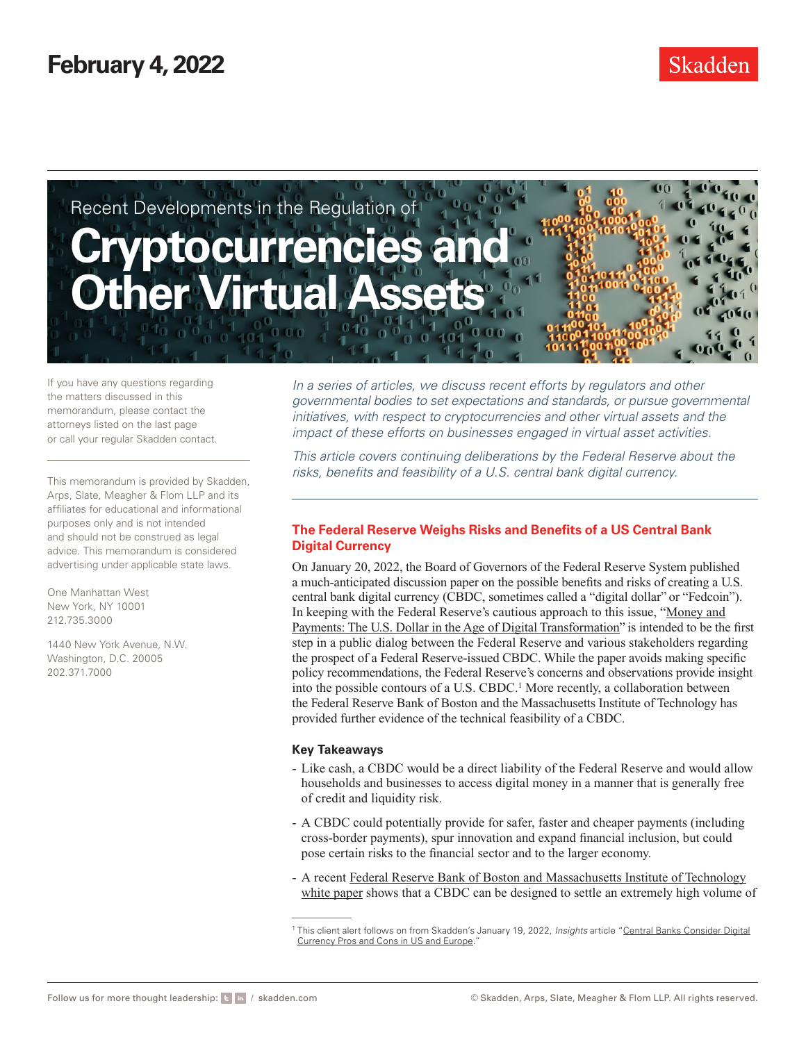

If you have any questions regarding the matters discussed in this memorandum, please contact the attorneys listed on the last page or call your regular Skadden contact.

This memorandum is provided by Skadden, Arps, Slate, Meagher & Flom LLP and its affiliates for educational and informational purposes only and is not intended and should not be construed as legal advice. This memorandum is considered advertising under applicable state laws.

One Manhattan West New York, NY 10001 212.735.3000

1440 New York Avenue, N.W. Washington, D.C. 20005 202.371.7000

*In a series of articles, we discuss recent efforts by regulators and other governmental bodies to set expectations and standards, or pursue governmental initiatives, with respect to cryptocurrencies and other virtual assets and the impact of these efforts on businesses engaged in virtual asset activities.*

*This article covers continuing deliberations by the Federal Reserve about the risks, benefits and feasibility of a U.S. central bank digital currency.*

### **The Federal Reserve Weighs Risks and Benefits of a US Central Bank Digital Currency**

On January 20, 2022, the Board of Governors of the Federal Reserve System published a much-anticipated discussion paper on the possible benefits and risks of creating a U.S. central bank digital currency (CBDC, sometimes called a "digital dollar" or "Fedcoin"). In keeping with the Federal Reserve's cautious approach to this issue, ["Money and](https://www.federalreserve.gov/publications/money-and-payments-discussion-paper.htm) [Payments: The U.S. Dollar in the Age of Digital Transformation"](https://www.federalreserve.gov/publications/money-and-payments-discussion-paper.htm) is intended to be the first step in a public dialog between the Federal Reserve and various stakeholders regarding the prospect of a Federal Reserve-issued CBDC. While the paper avoids making specific policy recommendations, the Federal Reserve's concerns and observations provide insight into the possible contours of a U.S. CBDC.<sup>1</sup> More recently, a collaboration between the Federal Reserve Bank of Boston and the Massachusetts Institute of Technology has provided further evidence of the technical feasibility of a CBDC.

### **Key Takeaways**

- Like cash, a CBDC would be a direct liability of the Federal Reserve and would allow households and businesses to access digital money in a manner that is generally free of credit and liquidity risk.
- A CBDC could potentially provide for safer, faster and cheaper payments (including cross-border payments), spur innovation and expand financial inclusion, but could pose certain risks to the financial sector and to the larger economy.
- A recent [Federal Reserve Bank of Boston and Massachusetts Institute of Technology](https://www.bostonfed.org/publications/one-time-pubs/project-hamilton-phase-1-executive-summary.aspx) [white paper](https://www.bostonfed.org/publications/one-time-pubs/project-hamilton-phase-1-executive-summary.aspx) shows that a CBDC can be designed to settle an extremely high volume of

<sup>1</sup> This client alert follows on from Skadden's January 19, 2022, *Insights* article "[Central Banks Consider Digital](https://www.skadden.com/insights/publications/2022/01/2022-insights/regulation-enforcement-and-investigations/central-banks-consider-digital-currency-pros-and-cons) [Currency Pros and Cons in US and Europe.](https://www.skadden.com/insights/publications/2022/01/2022-insights/regulation-enforcement-and-investigations/central-banks-consider-digital-currency-pros-and-cons)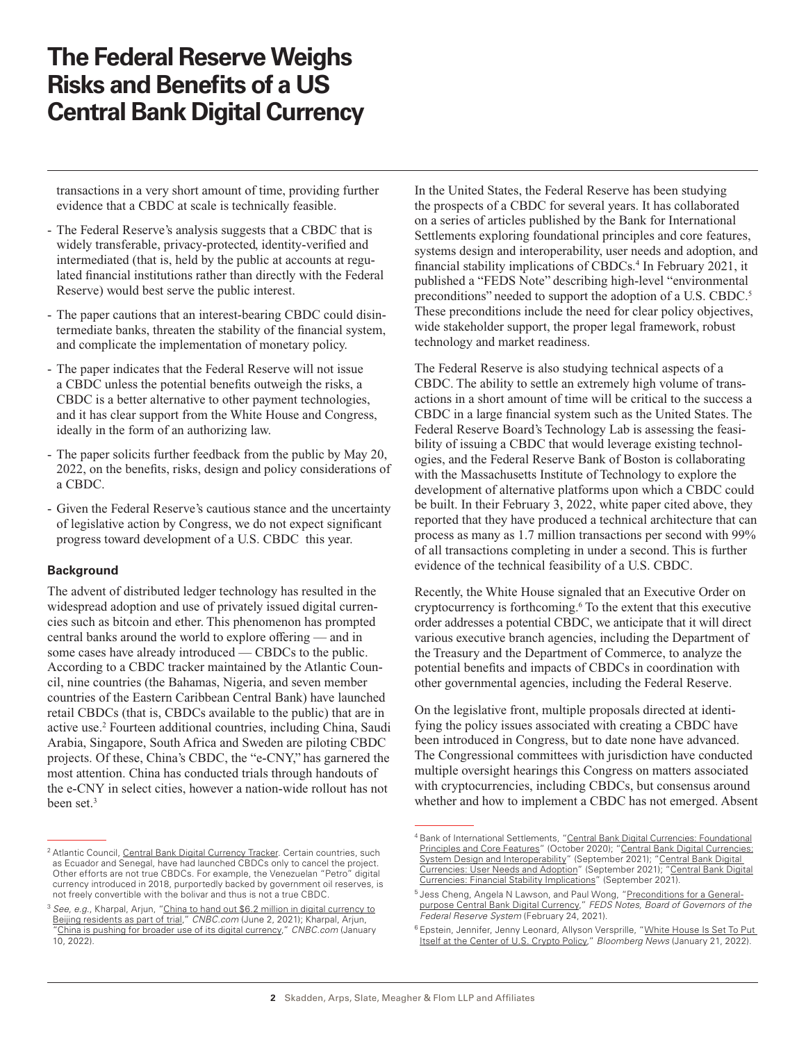transactions in a very short amount of time, providing further evidence that a CBDC at scale is technically feasible.

- The Federal Reserve's analysis suggests that a CBDC that is widely transferable, privacy-protected, identity-verified and intermediated (that is, held by the public at accounts at regulated financial institutions rather than directly with the Federal Reserve) would best serve the public interest.
- The paper cautions that an interest-bearing CBDC could disintermediate banks, threaten the stability of the financial system, and complicate the implementation of monetary policy.
- The paper indicates that the Federal Reserve will not issue a CBDC unless the potential benefits outweigh the risks, a CBDC is a better alternative to other payment technologies, and it has clear support from the White House and Congress, ideally in the form of an authorizing law.
- The paper solicits further feedback from the public by May 20, 2022, on the benefits, risks, design and policy considerations of a CBDC.
- Given the Federal Reserve's cautious stance and the uncertainty of legislative action by Congress, we do not expect significant progress toward development of a U.S. CBDC this year.

### **Background**

The advent of distributed ledger technology has resulted in the widespread adoption and use of privately issued digital currencies such as bitcoin and ether. This phenomenon has prompted central banks around the world to explore offering — and in some cases have already introduced — CBDCs to the public. According to a CBDC tracker maintained by the Atlantic Council, nine countries (the Bahamas, Nigeria, and seven member countries of the Eastern Caribbean Central Bank) have launched retail CBDCs (that is, CBDCs available to the public) that are in active use.<sup>2</sup> Fourteen additional countries, including China, Saudi Arabia, Singapore, South Africa and Sweden are piloting CBDC projects. Of these, China's CBDC, the "e-CNY," has garnered the most attention. China has conducted trials through handouts of the e-CNY in select cities, however a nation-wide rollout has not been set.<sup>3</sup>

In the United States, the Federal Reserve has been studying the prospects of a CBDC for several years. It has collaborated on a series of articles published by the Bank for International Settlements exploring foundational principles and core features, systems design and interoperability, user needs and adoption, and financial stability implications of CBDCs.<sup>4</sup> In February 2021, it published a "FEDS Note" describing high-level "environmental preconditions" needed to support the adoption of a U.S. CBDC.<sup>5</sup> These preconditions include the need for clear policy objectives, wide stakeholder support, the proper legal framework, robust technology and market readiness.

The Federal Reserve is also studying technical aspects of a CBDC. The ability to settle an extremely high volume of transactions in a short amount of time will be critical to the success a CBDC in a large financial system such as the United States. The Federal Reserve Board's Technology Lab is assessing the feasibility of issuing a CBDC that would leverage existing technologies, and the Federal Reserve Bank of Boston is collaborating with the Massachusetts Institute of Technology to explore the development of alternative platforms upon which a CBDC could be built. In their February 3, 2022, white paper cited above, they reported that they have produced a technical architecture that can process as many as 1.7 million transactions per second with 99% of all transactions completing in under a second. This is further evidence of the technical feasibility of a U.S. CBDC.

Recently, the White House signaled that an Executive Order on cryptocurrency is forthcoming.<sup>6</sup> To the extent that this executive order addresses a potential CBDC, we anticipate that it will direct various executive branch agencies, including the Department of the Treasury and the Department of Commerce, to analyze the potential benefits and impacts of CBDCs in coordination with other governmental agencies, including the Federal Reserve.

On the legislative front, multiple proposals directed at identifying the policy issues associated with creating a CBDC have been introduced in Congress, but to date none have advanced. The Congressional committees with jurisdiction have conducted multiple oversight hearings this Congress on matters associated with cryptocurrencies, including CBDCs, but consensus around whether and how to implement a CBDC has not emerged. Absent

<sup>&</sup>lt;sup>2</sup> Atlantic Council, [Central Bank Digital Currency Tracker](https://www.atlanticcouncil.org/cbdctracker/). Certain countries, such as Ecuador and Senegal, have had launched CBDCs only to cancel the project. Other efforts are not true CBDCs. For example, the Venezuelan "Petro" digital currency introduced in 2018, purportedly backed by government oil reserves, is not freely convertible with the bolivar and thus is not a true CBDC.

<sup>&</sup>lt;sup>3</sup> See, e.g., Kharpal, Arjun, ["China to hand out \\$6.2 million in digital currency to](https://www.cnbc.com/2021/06/02/china-digital-currency-beijing-to-hand-out-6point2-million-in-trial.html) [Beijing residents as part of trial](https://www.cnbc.com/2021/06/02/china-digital-currency-beijing-to-hand-out-6point2-million-in-trial.html)," *CNBC.com* (June 2, 2021); Kharpal, Arjun, [China is pushing for broader use of its digital currency,](https://www.cnbc.com/2022/01/11/china-digital-yuan-pboc-to-expand-e-cny-use-but-challenges-remain.html)" CNBC.com (January 10, 2022).

<sup>&</sup>lt;sup>4</sup> Bank of International Settlements, ["Central Bank Digital Currencies: Foundational](https://www.skadden.com/-/media/files/publications/2022/02/the-federal-reserve-weighs-risks/fn4a-othp33.pdf) [Principles and Core Features](https://www.skadden.com/-/media/files/publications/2022/02/the-federal-reserve-weighs-risks/fn4a-othp33.pdf)" (October 2020); "Central Bank Digital [Currencies:](https://www.skadden.com/-/media/files/publications/2022/02/the-federal-reserve-weighs-risks/fn4b-othp42_system_design.pdf) [System Design and Interoperability](https://www.skadden.com/-/media/files/publications/2022/02/the-federal-reserve-weighs-risks/fn4b-othp42_system_design.pdf)" (September 2021); "Central Bank Digital [Currencies: User Needs and Adoption"](https://www.skadden.com/-/media/files/publications/2022/02/the-federal-reserve-weighs-risks/fn4c-othp42_user_needs.pdf) (September 2021); ["Central Bank](https://www.skadden.com/-/media/files/publications/2022/02/the-federal-reserve-weighs-risks/fn4d-othp42_fin_stab.pdf) Digital [Currencies: Financial Stability Implications](https://www.skadden.com/-/media/files/publications/2022/02/the-federal-reserve-weighs-risks/fn4d-othp42_fin_stab.pdf)" (September 2021).

<sup>5</sup> Jess Cheng, Angela N Lawson, and Paul Wong, ["Preconditions for a General](https://www.federalreserve.gov/econres/notes/feds-notes/preconditions-for-a-general-purpose-central-bank-digital-currency-20210224.htm)[purpose Central Bank Digital Currency,](https://www.federalreserve.gov/econres/notes/feds-notes/preconditions-for-a-general-purpose-central-bank-digital-currency-20210224.htm)" *FEDS Notes, Board of Governors of the Federal Reserve System* (February 24, 2021).

<sup>&</sup>lt;sup>6</sup> Epstein, Jennifer, Jenny Leonard, Allyson Versprille, "White House Is Set To Put [Itself at the Center of U.S. Crypto Policy,](https://www.bloomberg.com/news/articles/2022-01-21/white-house-is-set-to-put-itself-at-center-of-u-s-crypto-policy)" *Bloomberg News* (January 21, 2022).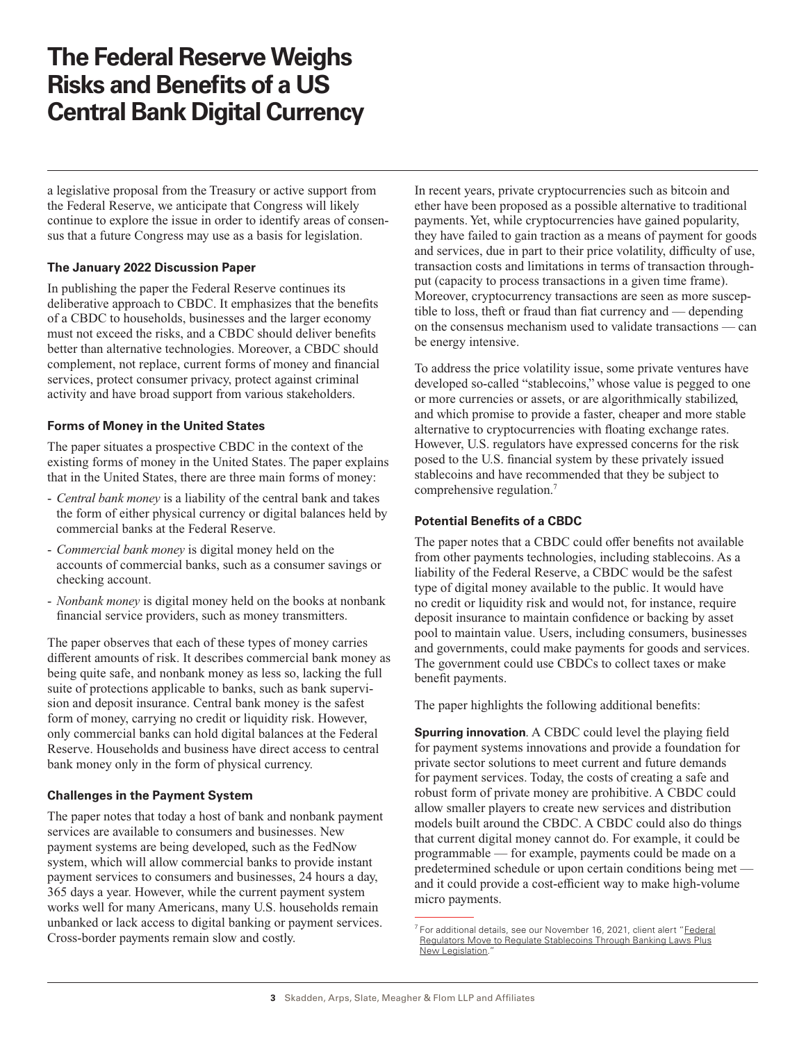a legislative proposal from the Treasury or active support from the Federal Reserve, we anticipate that Congress will likely continue to explore the issue in order to identify areas of consensus that a future Congress may use as a basis for legislation.

# **The January 2022 Discussion Paper**

In publishing the paper the Federal Reserve continues its deliberative approach to CBDC. It emphasizes that the benefits of a CBDC to households, businesses and the larger economy must not exceed the risks, and a CBDC should deliver benefits better than alternative technologies. Moreover, a CBDC should complement, not replace, current forms of money and financial services, protect consumer privacy, protect against criminal activity and have broad support from various stakeholders.

### **Forms of Money in the United States**

The paper situates a prospective CBDC in the context of the existing forms of money in the United States. The paper explains that in the United States, there are three main forms of money:

- *Central bank money* is a liability of the central bank and takes the form of either physical currency or digital balances held by commercial banks at the Federal Reserve.
- *Commercial bank money* is digital money held on the accounts of commercial banks, such as a consumer savings or checking account.
- *Nonbank money* is digital money held on the books at nonbank financial service providers, such as money transmitters.

The paper observes that each of these types of money carries different amounts of risk. It describes commercial bank money as being quite safe, and nonbank money as less so, lacking the full suite of protections applicable to banks, such as bank supervision and deposit insurance. Central bank money is the safest form of money, carrying no credit or liquidity risk. However, only commercial banks can hold digital balances at the Federal Reserve. Households and business have direct access to central bank money only in the form of physical currency.

# **Challenges in the Payment System**

The paper notes that today a host of bank and nonbank payment services are available to consumers and businesses. New payment systems are being developed, such as the FedNow system, which will allow commercial banks to provide instant payment services to consumers and businesses, 24 hours a day, 365 days a year. However, while the current payment system works well for many Americans, many U.S. households remain unbanked or lack access to digital banking or payment services. Cross-border payments remain slow and costly.

In recent years, private cryptocurrencies such as bitcoin and ether have been proposed as a possible alternative to traditional payments. Yet, while cryptocurrencies have gained popularity, they have failed to gain traction as a means of payment for goods and services, due in part to their price volatility, difficulty of use, transaction costs and limitations in terms of transaction throughput (capacity to process transactions in a given time frame). Moreover, cryptocurrency transactions are seen as more susceptible to loss, theft or fraud than fiat currency and — depending on the consensus mechanism used to validate transactions — can be energy intensive.

To address the price volatility issue, some private ventures have developed so-called "stablecoins," whose value is pegged to one or more currencies or assets, or are algorithmically stabilized, and which promise to provide a faster, cheaper and more stable alternative to cryptocurrencies with floating exchange rates. However, U.S. regulators have expressed concerns for the risk posed to the U.S. financial system by these privately issued stablecoins and have recommended that they be subject to comprehensive regulation.7

### **Potential Benefits of a CBDC**

The paper notes that a CBDC could offer benefits not available from other payments technologies, including stablecoins. As a liability of the Federal Reserve, a CBDC would be the safest type of digital money available to the public. It would have no credit or liquidity risk and would not, for instance, require deposit insurance to maintain confidence or backing by asset pool to maintain value. Users, including consumers, businesses and governments, could make payments for goods and services. The government could use CBDCs to collect taxes or make benefit payments.

The paper highlights the following additional benefits:

**Spurring innovation.** A CBDC could level the playing field for payment systems innovations and provide a foundation for private sector solutions to meet current and future demands for payment services. Today, the costs of creating a safe and robust form of private money are prohibitive. A CBDC could allow smaller players to create new services and distribution models built around the CBDC. A CBDC could also do things that current digital money cannot do. For example, it could be programmable — for example, payments could be made on a predetermined schedule or upon certain conditions being met and it could provide a cost-efficient way to make high-volume micro payments.

<sup>7</sup> For additional details, see our November 16, 2021, client alert "[Federal](https://www.skadden.com/insights/publications/2021/11/recent-developments-in-the-regulation-of-virtual-assets/federal-regulators-move-to-regulate-stablecoins) [Regulators Move to Regulate Stablecoins Through Banking Laws Plus](https://www.skadden.com/insights/publications/2021/11/recent-developments-in-the-regulation-of-virtual-assets/federal-regulators-move-to-regulate-stablecoins) [New Legislation](https://www.skadden.com/insights/publications/2021/11/recent-developments-in-the-regulation-of-virtual-assets/federal-regulators-move-to-regulate-stablecoins).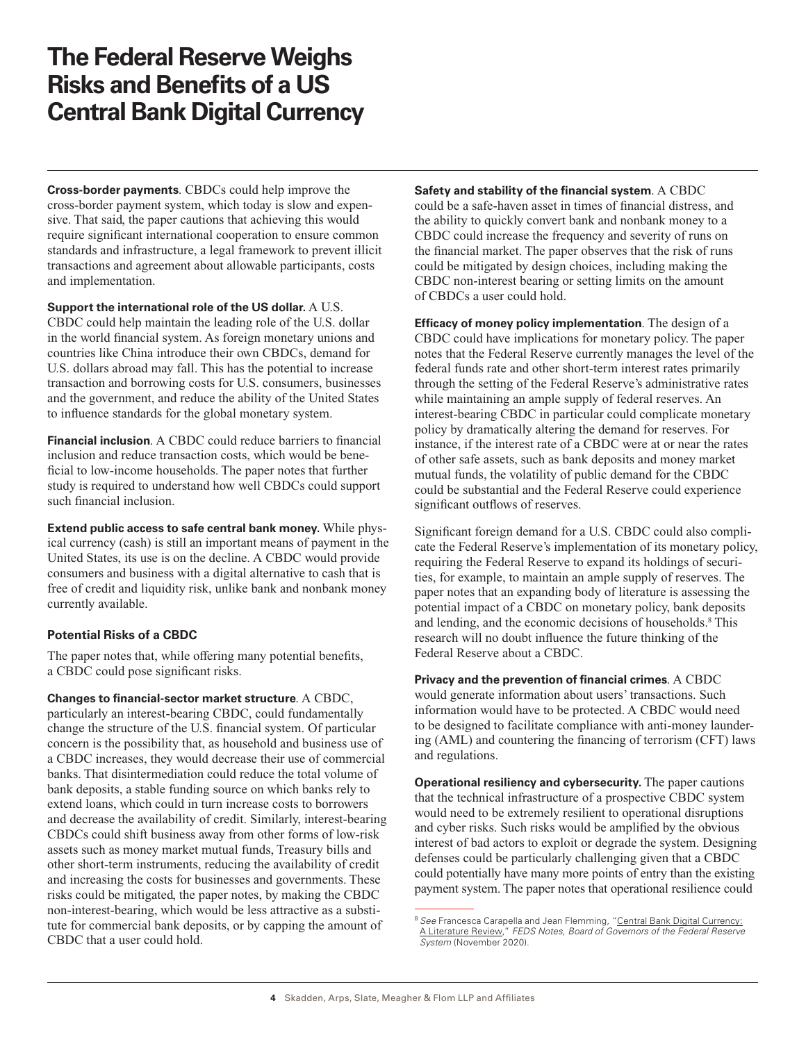**Cross-border payments**. CBDCs could help improve the cross-border payment system, which today is slow and expensive. That said, the paper cautions that achieving this would require significant international cooperation to ensure common standards and infrastructure, a legal framework to prevent illicit transactions and agreement about allowable participants, costs and implementation.

**Support the international role of the US dollar.** A U.S. CBDC could help maintain the leading role of the U.S. dollar in the world financial system. As foreign monetary unions and countries like China introduce their own CBDCs, demand for U.S. dollars abroad may fall. This has the potential to increase transaction and borrowing costs for U.S. consumers, businesses and the government, and reduce the ability of the United States to influence standards for the global monetary system.

**Financial inclusion**. A CBDC could reduce barriers to financial inclusion and reduce transaction costs, which would be beneficial to low-income households. The paper notes that further study is required to understand how well CBDCs could support such financial inclusion.

**Extend public access to safe central bank money.** While physical currency (cash) is still an important means of payment in the United States, its use is on the decline. A CBDC would provide consumers and business with a digital alternative to cash that is free of credit and liquidity risk, unlike bank and nonbank money currently available.

### **Potential Risks of a CBDC**

The paper notes that, while offering many potential benefits, a CBDC could pose significant risks.

**Changes to financial-sector market structure**. A CBDC, particularly an interest-bearing CBDC, could fundamentally change the structure of the U.S. financial system. Of particular concern is the possibility that, as household and business use of a CBDC increases, they would decrease their use of commercial banks. That disintermediation could reduce the total volume of bank deposits, a stable funding source on which banks rely to extend loans, which could in turn increase costs to borrowers and decrease the availability of credit. Similarly, interest-bearing CBDCs could shift business away from other forms of low-risk assets such as money market mutual funds, Treasury bills and other short-term instruments, reducing the availability of credit and increasing the costs for businesses and governments. These risks could be mitigated, the paper notes, by making the CBDC non-interest-bearing, which would be less attractive as a substitute for commercial bank deposits, or by capping the amount of CBDC that a user could hold.

**Safety and stability of the financial system**. A CBDC could be a safe-haven asset in times of financial distress, and the ability to quickly convert bank and nonbank money to a CBDC could increase the frequency and severity of runs on the financial market. The paper observes that the risk of runs could be mitigated by design choices, including making the CBDC non-interest bearing or setting limits on the amount of CBDCs a user could hold.

**Efficacy of money policy implementation**. The design of a CBDC could have implications for monetary policy. The paper notes that the Federal Reserve currently manages the level of the federal funds rate and other short-term interest rates primarily through the setting of the Federal Reserve's administrative rates while maintaining an ample supply of federal reserves. An interest-bearing CBDC in particular could complicate monetary policy by dramatically altering the demand for reserves. For instance, if the interest rate of a CBDC were at or near the rates of other safe assets, such as bank deposits and money market mutual funds, the volatility of public demand for the CBDC could be substantial and the Federal Reserve could experience significant outflows of reserves.

Significant foreign demand for a U.S. CBDC could also complicate the Federal Reserve's implementation of its monetary policy, requiring the Federal Reserve to expand its holdings of securities, for example, to maintain an ample supply of reserves. The paper notes that an expanding body of literature is assessing the potential impact of a CBDC on monetary policy, bank deposits and lending, and the economic decisions of households.<sup>8</sup> This research will no doubt influence the future thinking of the Federal Reserve about a CBDC.

**Privacy and the prevention of financial crimes**. A CBDC would generate information about users' transactions. Such information would have to be protected. A CBDC would need to be designed to facilitate compliance with anti-money laundering (AML) and countering the financing of terrorism (CFT) laws and regulations.

**Operational resiliency and cybersecurity.** The paper cautions that the technical infrastructure of a prospective CBDC system would need to be extremely resilient to operational disruptions and cyber risks. Such risks would be amplified by the obvious interest of bad actors to exploit or degrade the system. Designing defenses could be particularly challenging given that a CBDC could potentially have many more points of entry than the existing payment system. The paper notes that operational resilience could

<sup>&</sup>lt;sup>8</sup> See Francesca Carapella and Jean Flemming, ["Central Bank Digital Currency:](https://www.federalreserve.gov/econres/notes/feds-notes/central-bank-digital-currency-a-literature-review-20201109.htm) [A Literature Review,](https://www.federalreserve.gov/econres/notes/feds-notes/central-bank-digital-currency-a-literature-review-20201109.htm)" *FEDS Notes, Board of Governors of the Federal Reserve System* (November 2020).